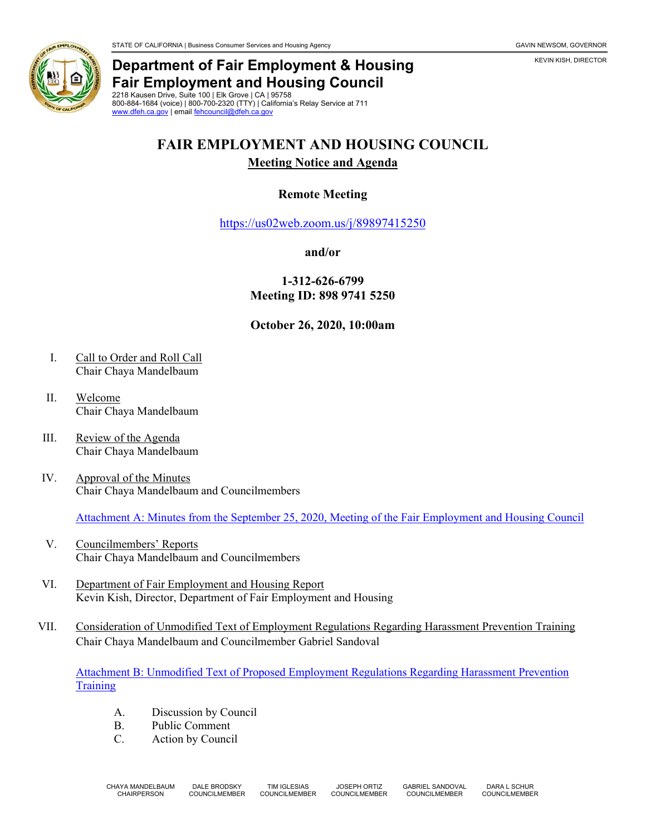

## **Department of Fair Employment & Housing Fair Employment and Housing Council**

2218 Kausen Drive, Suite 100 | Elk Grove | CA | 95758 800-884-1684 (voice) | 800-700-2320 (TTY) | California's Relay Service at 711 [www.dfeh.ca.gov](https://www.dfeh.ca.gov/) | emai[l fehcouncil@dfeh.ca.gov](mailto:fehcouncil@dfeh.ca.gov)

# **FAIR EMPLOYMENT AND HOUSING COUNCIL**

#### **Meeting Notice and Agenda**

## **Remote Meeting**

<https://us02web.zoom.us/j/89897415250>

#### **and/or**

**1-312-626-6799 Meeting ID: 898 9741 5250**

### **October 26, 2020, 10:00am**

- I. Call to Order and Roll Call Chair Chaya Mandelbaum
- II. Welcome Chair Chaya Mandelbaum
- III. Review of the Agenda Chair Chaya Mandelbaum
- IV. Approval of the Minutes Chair Chaya Mandelbaum and Councilmembers

[Attachment A: Minutes from the September 25, 2020, Meeting of the Fair Employment and Housing Council](https://www.dfeh.ca.gov/wp-content/uploads/sites/32/2020/10/AttachA-FEHCMinutes2020Sep25.pdf)

- V. Councilmembers' Reports Chair Chaya Mandelbaum and Councilmembers
- VI. Department of Fair Employment and Housing Report Kevin Kish, Director, Department of Fair Employment and Housing
- VII. Consideration of Unmodified Text of Employment Regulations Regarding Harassment Prevention Training Chair Chaya Mandelbaum and Councilmember Gabriel Sandoval

Attachment B: Unmodified Text of [Proposed Employment Regulations Regarding Harassment Prevention](https://www.dfeh.ca.gov/wp-content/uploads/sites/32/2020/10/AttachB-UnmodifiedTextEmployRegHarassmentPreventionTraining.pdf)  **[Training](https://www.dfeh.ca.gov/wp-content/uploads/sites/32/2020/10/AttachB-UnmodifiedTextEmployRegHarassmentPreventionTraining.pdf)** 

- A. Discussion by Council
- B. Public Comment
- C. Action by Council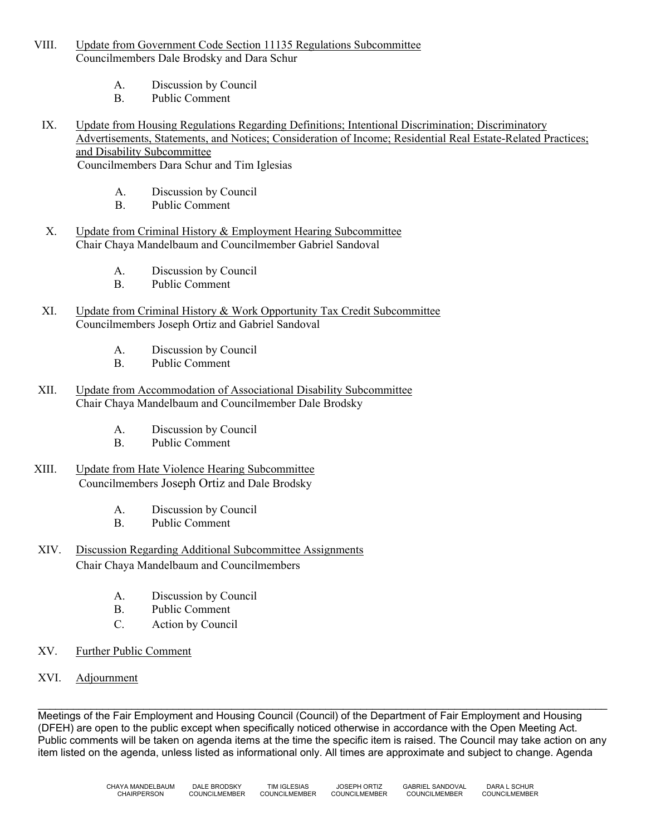- VIII. Update from Government Code Section 11135 Regulations Subcommittee Councilmembers Dale Brodsky and Dara Schur
	- A. Discussion by Council
	- B. Public Comment
- IX. Update from Housing Regulations Regarding Definitions; Intentional Discrimination; Discriminatory Advertisements, Statements, and Notices; Consideration of Income; Residential Real Estate-Related Practices; and Disability Subcommittee Councilmembers Dara Schur and Tim Iglesias
	- A. Discussion by Council
	- B. Public Comment
- X. Update from Criminal History & Employment Hearing Subcommittee Chair Chaya Mandelbaum and Councilmember Gabriel Sandoval
	- A. Discussion by Council
	- B. Public Comment
- XI. Update from Criminal History & Work Opportunity Tax Credit Subcommittee Councilmembers Joseph Ortiz and Gabriel Sandoval
	- A. Discussion by Council
	- B. Public Comment
- XII. Update from Accommodation of Associational Disability Subcommittee Chair Chaya Mandelbaum and Councilmember Dale Brodsky
	- A. Discussion by Council
	- B. Public Comment
- XIII. Update from Hate Violence Hearing Subcommittee Councilmembers Joseph Ortiz and Dale Brodsky
	- A. Discussion by Council
	- B. Public Comment
- XIV. Discussion Regarding Additional Subcommittee Assignments Chair Chaya Mandelbaum and Councilmembers
	- A. Discussion by Council
	- B. Public Comment
	- C. Action by Council
- XV. Further Public Comment
- XVI. Adjournment

\_\_\_\_\_\_\_\_\_\_\_\_\_\_\_\_\_\_\_\_\_\_\_\_\_\_\_\_\_\_\_\_\_\_\_\_\_\_\_\_\_\_\_\_\_\_\_\_\_\_\_\_\_\_\_\_\_\_\_\_\_\_\_\_\_\_\_\_\_\_\_\_\_\_\_\_\_\_\_\_\_\_\_\_\_\_\_\_\_\_\_\_\_\_\_\_\_ Meetings of the Fair Employment and Housing Council (Council) of the Department of Fair Employment and Housing (DFEH) are open to the public except when specifically noticed otherwise in accordance with the Open Meeting Act. Public comments will be taken on agenda items at the time the specific item is raised. The Council may take action on any item listed on the agenda, unless listed as informational only. All times are approximate and subject to change. Agenda